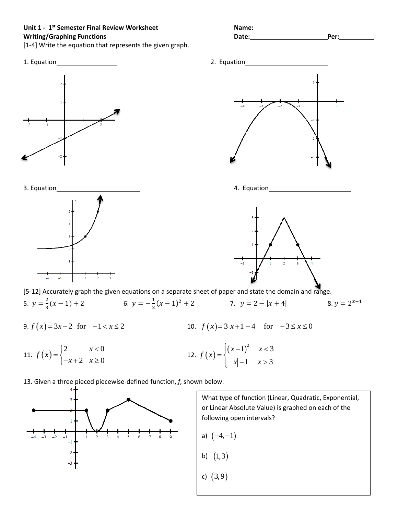**Unit 1 - 1st Semester Final Review Worksheet Name: Writing/Graphing Functions Date: Per:**

[1-4] Write the equation that represents the given graph.



11.  $f(x) = \begin{cases} 2 & x < 0 \\ 0 & x \end{cases}$ 2  $x \geq 0$ *x f x*  $=\begin{cases} 2 & x <$ <br> $-x+2 & x \ge 2 \end{cases}$  $\begin{cases} -x + 2 & x \geq 0 \end{cases}$ 12.  $f(x) = \begin{cases} (x-1)^2 & x < 3 \end{cases}$ 1  $x > 3$  $(x-1)^2$  x *f x*  $|x|$  -1  $x$  $=\begin{cases} (x-1)^2 & x <$  $\left| \begin{array}{c} |x| - 1 & x > \end{array} \right|$ 

13. Given a three pieced piecewise-defined function, *f*, shown below.



What type of function (Linear, Quadratic, Exponential, or Linear Absolute Value) is graphed on each of the following open intervals?

- a)  $(-4,-1)$
- b) (1,3)
- c) (3,9)